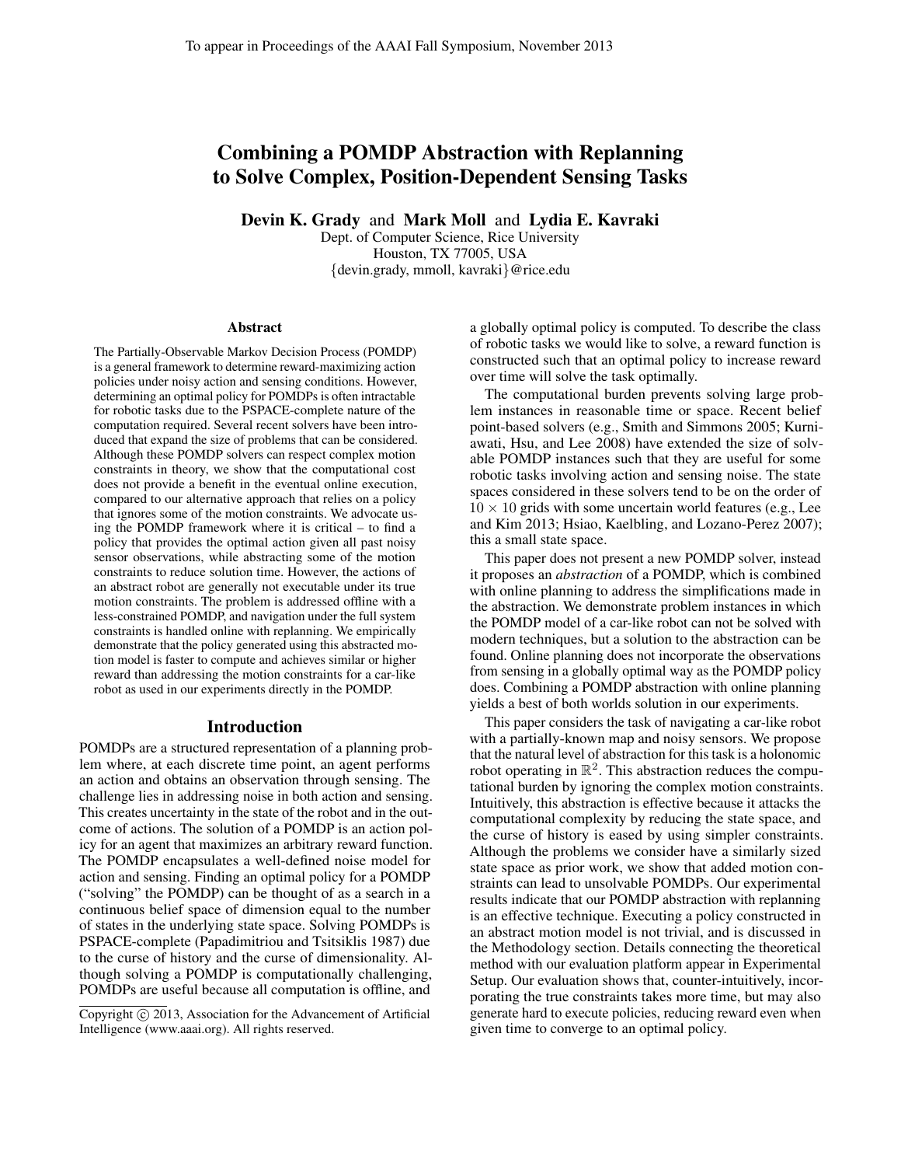# Combining a POMDP Abstraction with Replanning to Solve Complex, Position-Dependent Sensing Tasks

Devin K. Grady and Mark Moll and Lydia E. Kavraki

Dept. of Computer Science, Rice University Houston, TX 77005, USA {devin.grady, mmoll, kavraki}@rice.edu

#### Abstract

The Partially-Observable Markov Decision Process (POMDP) is a general framework to determine reward-maximizing action policies under noisy action and sensing conditions. However, determining an optimal policy for POMDPs is often intractable for robotic tasks due to the PSPACE-complete nature of the computation required. Several recent solvers have been introduced that expand the size of problems that can be considered. Although these POMDP solvers can respect complex motion constraints in theory, we show that the computational cost does not provide a benefit in the eventual online execution, compared to our alternative approach that relies on a policy that ignores some of the motion constraints. We advocate using the POMDP framework where it is critical – to find a policy that provides the optimal action given all past noisy sensor observations, while abstracting some of the motion constraints to reduce solution time. However, the actions of an abstract robot are generally not executable under its true motion constraints. The problem is addressed offline with a less-constrained POMDP, and navigation under the full system constraints is handled online with replanning. We empirically demonstrate that the policy generated using this abstracted motion model is faster to compute and achieves similar or higher reward than addressing the motion constraints for a car-like robot as used in our experiments directly in the POMDP.

#### Introduction

POMDPs are a structured representation of a planning problem where, at each discrete time point, an agent performs an action and obtains an observation through sensing. The challenge lies in addressing noise in both action and sensing. This creates uncertainty in the state of the robot and in the outcome of actions. The solution of a POMDP is an action policy for an agent that maximizes an arbitrary reward function. The POMDP encapsulates a well-defined noise model for action and sensing. Finding an optimal policy for a POMDP ("solving" the POMDP) can be thought of as a search in a continuous belief space of dimension equal to the number of states in the underlying state space. Solving POMDPs is PSPACE-complete (Papadimitriou and Tsitsiklis 1987) due to the curse of history and the curse of dimensionality. Although solving a POMDP is computationally challenging, POMDPs are useful because all computation is offline, and a globally optimal policy is computed. To describe the class of robotic tasks we would like to solve, a reward function is constructed such that an optimal policy to increase reward over time will solve the task optimally.

The computational burden prevents solving large problem instances in reasonable time or space. Recent belief point-based solvers (e.g., Smith and Simmons 2005; Kurniawati, Hsu, and Lee 2008) have extended the size of solvable POMDP instances such that they are useful for some robotic tasks involving action and sensing noise. The state spaces considered in these solvers tend to be on the order of  $10 \times 10$  grids with some uncertain world features (e.g., Lee and Kim 2013; Hsiao, Kaelbling, and Lozano-Perez 2007); this a small state space.

This paper does not present a new POMDP solver, instead it proposes an *abstraction* of a POMDP, which is combined with online planning to address the simplifications made in the abstraction. We demonstrate problem instances in which the POMDP model of a car-like robot can not be solved with modern techniques, but a solution to the abstraction can be found. Online planning does not incorporate the observations from sensing in a globally optimal way as the POMDP policy does. Combining a POMDP abstraction with online planning yields a best of both worlds solution in our experiments.

This paper considers the task of navigating a car-like robot with a partially-known map and noisy sensors. We propose that the natural level of abstraction for this task is a holonomic robot operating in  $\mathbb{R}^2$ . This abstraction reduces the computational burden by ignoring the complex motion constraints. Intuitively, this abstraction is effective because it attacks the computational complexity by reducing the state space, and the curse of history is eased by using simpler constraints. Although the problems we consider have a similarly sized state space as prior work, we show that added motion constraints can lead to unsolvable POMDPs. Our experimental results indicate that our POMDP abstraction with replanning is an effective technique. Executing a policy constructed in an abstract motion model is not trivial, and is discussed in the Methodology section. Details connecting the theoretical method with our evaluation platform appear in Experimental Setup. Our evaluation shows that, counter-intuitively, incorporating the true constraints takes more time, but may also generate hard to execute policies, reducing reward even when given time to converge to an optimal policy.

Copyright (c) 2013, Association for the Advancement of Artificial Intelligence (www.aaai.org). All rights reserved.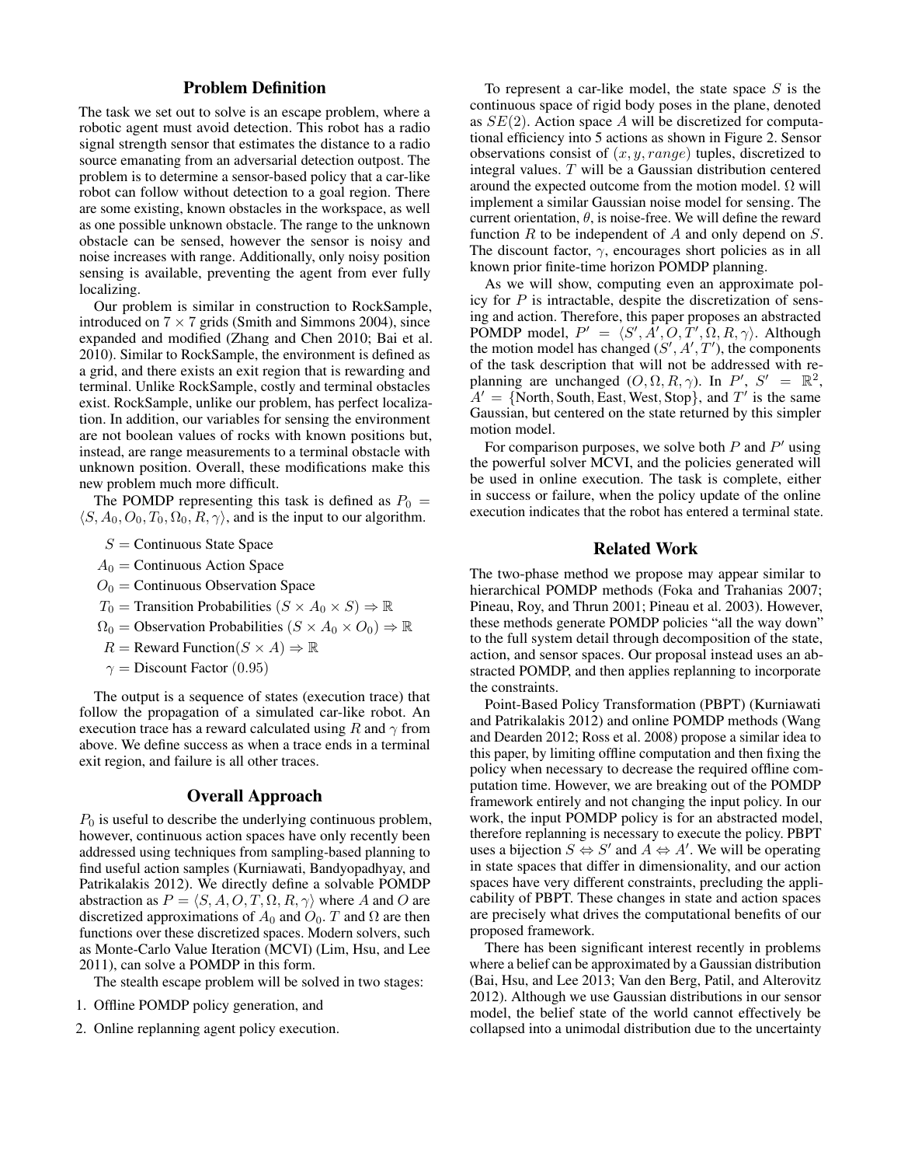## Problem Definition

The task we set out to solve is an escape problem, where a robotic agent must avoid detection. This robot has a radio signal strength sensor that estimates the distance to a radio source emanating from an adversarial detection outpost. The problem is to determine a sensor-based policy that a car-like robot can follow without detection to a goal region. There are some existing, known obstacles in the workspace, as well as one possible unknown obstacle. The range to the unknown obstacle can be sensed, however the sensor is noisy and noise increases with range. Additionally, only noisy position sensing is available, preventing the agent from ever fully localizing.

Our problem is similar in construction to RockSample, introduced on  $7 \times 7$  grids (Smith and Simmons 2004), since expanded and modified (Zhang and Chen 2010; Bai et al. 2010). Similar to RockSample, the environment is defined as a grid, and there exists an exit region that is rewarding and terminal. Unlike RockSample, costly and terminal obstacles exist. RockSample, unlike our problem, has perfect localization. In addition, our variables for sensing the environment are not boolean values of rocks with known positions but, instead, are range measurements to a terminal obstacle with unknown position. Overall, these modifications make this new problem much more difficult.

The POMDP representing this task is defined as  $P_0 =$  $\langle S, A_0, O_0, T_0, \Omega_0, R, \gamma \rangle$ , and is the input to our algorithm.

- $S =$  Continuous State Space
- $A_0$  = Continuous Action Space
- $O<sub>0</sub>$  = Continuous Observation Space
- $T_0$  = Transition Probabilities  $(S \times A_0 \times S) \Rightarrow \mathbb{R}$
- $\Omega_0$  = Observation Probabilities  $(S \times A_0 \times O_0) \Rightarrow \mathbb{R}$
- $R =$  Reward Function $(S \times A) \Rightarrow \mathbb{R}$
- $\gamma =$  Discount Factor (0.95)

The output is a sequence of states (execution trace) that follow the propagation of a simulated car-like robot. An execution trace has a reward calculated using R and  $\gamma$  from above. We define success as when a trace ends in a terminal exit region, and failure is all other traces.

## Overall Approach

 $P_0$  is useful to describe the underlying continuous problem, however, continuous action spaces have only recently been addressed using techniques from sampling-based planning to find useful action samples (Kurniawati, Bandyopadhyay, and Patrikalakis 2012). We directly define a solvable POMDP abstraction as  $P = \langle S, A, O, T, \Omega, R, \gamma \rangle$  where A and O are discretized approximations of  $A_0$  and  $O_0$ . T and  $\Omega$  are then functions over these discretized spaces. Modern solvers, such as Monte-Carlo Value Iteration (MCVI) (Lim, Hsu, and Lee 2011), can solve a POMDP in this form.

The stealth escape problem will be solved in two stages:

- 1. Offline POMDP policy generation, and
- 2. Online replanning agent policy execution.

To represent a car-like model, the state space  $S$  is the continuous space of rigid body poses in the plane, denoted as  $SE(2)$ . Action space A will be discretized for computational efficiency into 5 actions as shown in Figure 2. Sensor observations consist of  $(x, y, range)$  tuples, discretized to integral values. T will be a Gaussian distribution centered around the expected outcome from the motion model.  $\Omega$  will implement a similar Gaussian noise model for sensing. The current orientation,  $\theta$ , is noise-free. We will define the reward function  $R$  to be independent of  $A$  and only depend on  $S$ . The discount factor,  $\gamma$ , encourages short policies as in all known prior finite-time horizon POMDP planning.

As we will show, computing even an approximate policy for  $P$  is intractable, despite the discretization of sensing and action. Therefore, this paper proposes an abstracted POMDP model,  $P' = \langle S', A', O, T', \Omega, R, \gamma \rangle$ . Although the motion model has changed  $(S', A', T')$ , the components of the task description that will not be addressed with replanning are unchanged  $(O, \Omega, R, \gamma)$ . In  $P', S' = \mathbb{R}^2$ ,  $A' = \{North, South, East, West, Stop\}$ , and  $T'$  is the same Gaussian, but centered on the state returned by this simpler motion model.

For comparison purposes, we solve both  $P$  and  $P'$  using the powerful solver MCVI, and the policies generated will be used in online execution. The task is complete, either in success or failure, when the policy update of the online execution indicates that the robot has entered a terminal state.

#### Related Work

The two-phase method we propose may appear similar to hierarchical POMDP methods (Foka and Trahanias 2007; Pineau, Roy, and Thrun 2001; Pineau et al. 2003). However, these methods generate POMDP policies "all the way down" to the full system detail through decomposition of the state, action, and sensor spaces. Our proposal instead uses an abstracted POMDP, and then applies replanning to incorporate the constraints.

Point-Based Policy Transformation (PBPT) (Kurniawati and Patrikalakis 2012) and online POMDP methods (Wang and Dearden 2012; Ross et al. 2008) propose a similar idea to this paper, by limiting offline computation and then fixing the policy when necessary to decrease the required offline computation time. However, we are breaking out of the POMDP framework entirely and not changing the input policy. In our work, the input POMDP policy is for an abstracted model, therefore replanning is necessary to execute the policy. PBPT uses a bijection  $S \Leftrightarrow S'$  and  $A \Leftrightarrow A'$ . We will be operating in state spaces that differ in dimensionality, and our action spaces have very different constraints, precluding the applicability of PBPT. These changes in state and action spaces are precisely what drives the computational benefits of our proposed framework.

There has been significant interest recently in problems where a belief can be approximated by a Gaussian distribution (Bai, Hsu, and Lee 2013; Van den Berg, Patil, and Alterovitz 2012). Although we use Gaussian distributions in our sensor model, the belief state of the world cannot effectively be collapsed into a unimodal distribution due to the uncertainty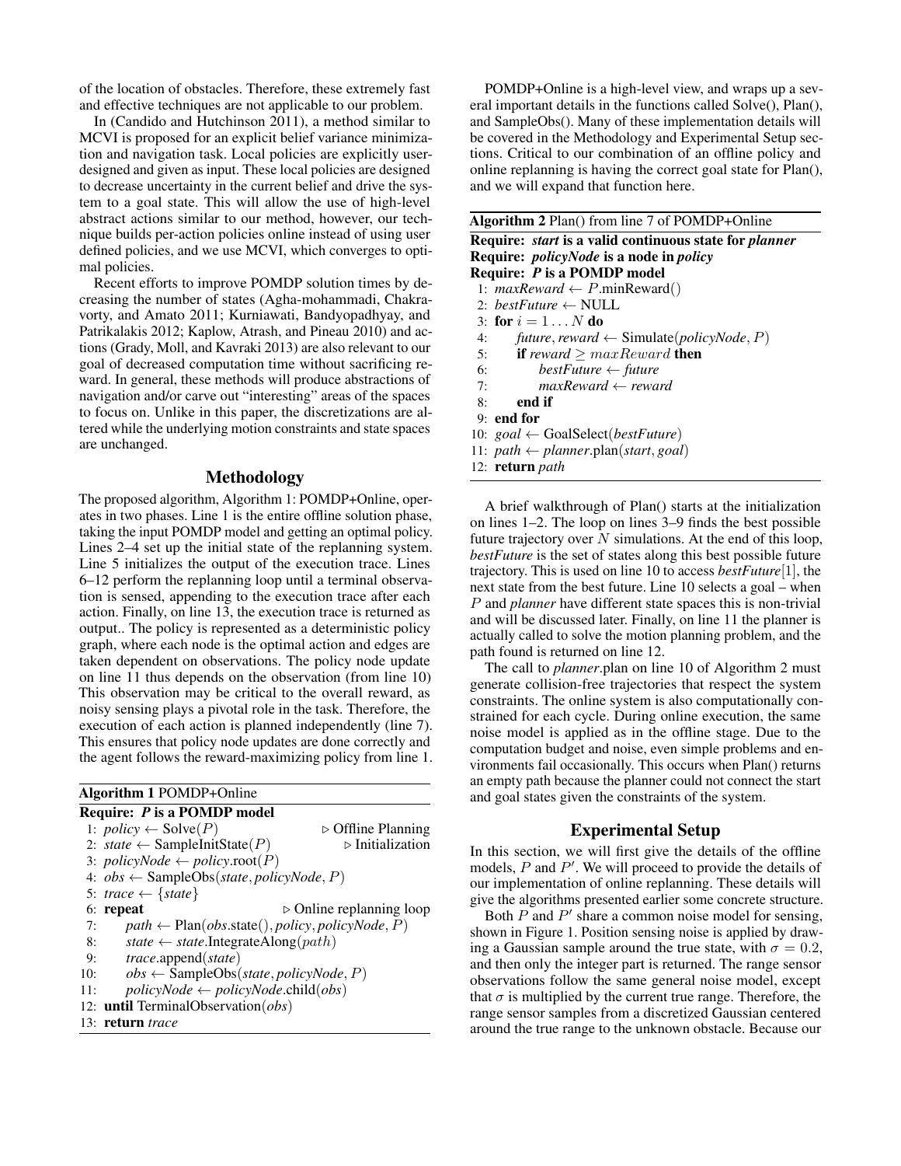of the location of obstacles. Therefore, these extremely fast and effective techniques are not applicable to our problem.

In (Candido and Hutchinson 2011), a method similar to MCVI is proposed for an explicit belief variance minimization and navigation task. Local policies are explicitly userdesigned and given as input. These local policies are designed to decrease uncertainty in the current belief and drive the system to a goal state. This will allow the use of high-level abstract actions similar to our method, however, our technique builds per-action policies online instead of using user defined policies, and we use MCVI, which converges to optimal policies.

Recent efforts to improve POMDP solution times by decreasing the number of states (Agha-mohammadi, Chakravorty, and Amato 2011; Kurniawati, Bandyopadhyay, and Patrikalakis 2012; Kaplow, Atrash, and Pineau 2010) and actions (Grady, Moll, and Kavraki 2013) are also relevant to our goal of decreased computation time without sacrificing reward. In general, these methods will produce abstractions of navigation and/or carve out "interesting" areas of the spaces to focus on. Unlike in this paper, the discretizations are altered while the underlying motion constraints and state spaces are unchanged.

## Methodology

The proposed algorithm, Algorithm 1: POMDP+Online, operates in two phases. Line 1 is the entire offline solution phase, taking the input POMDP model and getting an optimal policy. Lines 2–4 set up the initial state of the replanning system. Line 5 initializes the output of the execution trace. Lines 6–12 perform the replanning loop until a terminal observation is sensed, appending to the execution trace after each action. Finally, on line 13, the execution trace is returned as output.. The policy is represented as a deterministic policy graph, where each node is the optimal action and edges are taken dependent on observations. The policy node update on line 11 thus depends on the observation (from line 10) This observation may be critical to the overall reward, as noisy sensing plays a pivotal role in the task. Therefore, the execution of each action is planned independently (line 7). This ensures that policy node updates are done correctly and the agent follows the reward-maximizing policy from line 1.

| <b>Algorithm 1 POMDP+Online</b>    |                                                                              |                                   |  |  |  |  |
|------------------------------------|------------------------------------------------------------------------------|-----------------------------------|--|--|--|--|
| Require: <i>P</i> is a POMDP model |                                                                              |                                   |  |  |  |  |
|                                    | 1: $policy \leftarrow Solve(P)$                                              | $\triangleright$ Offline Planning |  |  |  |  |
|                                    | 2: state $\leftarrow$ SampleInitState(P)                                     | $\triangleright$ Initialization   |  |  |  |  |
|                                    | 3: policyNode $\leftarrow$ policy.root(P)                                    |                                   |  |  |  |  |
|                                    | 4: $obs \leftarrow$ SampleObs( <i>state</i> , <i>policyNode</i> , <i>P</i> ) |                                   |  |  |  |  |
|                                    | 5: trace $\leftarrow$ {state}                                                |                                   |  |  |  |  |
|                                    | $\triangleright$ Online replanning loop<br>6: repeat                         |                                   |  |  |  |  |
| 7:                                 | $path \leftarrow Plan(obs.state(), policy, policyNode, P)$                   |                                   |  |  |  |  |
| 8:                                 | state $\leftarrow$ state.IntegrateAlong(path)                                |                                   |  |  |  |  |
| 9:                                 | <i>trace</i> .append( <i>state</i> )                                         |                                   |  |  |  |  |
| 10:                                | $obs \leftarrow$ SampleObs( <i>state</i> , <i>policyNode</i> , <i>P</i> )    |                                   |  |  |  |  |
| 11:                                | $policyNode \leftarrow policyNode \text{.child}(obs)$                        |                                   |  |  |  |  |
|                                    | 12: until TerminalObservation(obs)                                           |                                   |  |  |  |  |
|                                    | 13: return trace                                                             |                                   |  |  |  |  |

POMDP+Online is a high-level view, and wraps up a several important details in the functions called Solve(), Plan(), and SampleObs(). Many of these implementation details will be covered in the Methodology and Experimental Setup sections. Critical to our combination of an offline policy and online replanning is having the correct goal state for Plan(), and we will expand that function here.

|  |  | Algorithm 2 Plan() from line 7 of POMDP+Online |
|--|--|------------------------------------------------|

| <b>Require:</b> <i>start</i> is a valid continuous state for <i>planner</i> |
|-----------------------------------------------------------------------------|
| <b>Require:</b> <i>policyNode</i> is a node in <i>policy</i>                |
| Require: P is a POMDP model                                                 |
| 1: $maxReward \leftarrow P.minReward()$                                     |
|                                                                             |

- 2:  $bestFuture \leftarrow NULL$
- 3: for  $i = 1 \ldots N$  do
- 4: *future*, *reward*  $\leftarrow$  Simulate(*policyNode*, *P*)<br>5: **if** *reward* > *maxReward* **then**
- 5: **if** *reward*  $\geq maxReward$  **then**<br>6: **bestFuture**  $\leftarrow$  future
- 6: *bestFuture* ← *future*
- 7:  $maxReward \leftarrow reward$ <br>8: **end if** end if
- 
- 9: end for
- 10: *goal* ← GoalSelect(*bestFuture*)
- 11:  $path \leftarrow planner.plan(start, goal)$
- 12: return *path*

A brief walkthrough of Plan() starts at the initialization on lines 1–2. The loop on lines 3–9 finds the best possible future trajectory over  $N$  simulations. At the end of this loop, *bestFuture* is the set of states along this best possible future trajectory. This is used on line 10 to access *bestFuture*[1], the next state from the best future. Line 10 selects a goal – when P and *planner* have different state spaces this is non-trivial and will be discussed later. Finally, on line 11 the planner is actually called to solve the motion planning problem, and the path found is returned on line 12.

The call to *planner*.plan on line 10 of Algorithm 2 must generate collision-free trajectories that respect the system constraints. The online system is also computationally constrained for each cycle. During online execution, the same noise model is applied as in the offline stage. Due to the computation budget and noise, even simple problems and environments fail occasionally. This occurs when Plan() returns an empty path because the planner could not connect the start and goal states given the constraints of the system.

## Experimental Setup

In this section, we will first give the details of the offline models,  $P$  and  $P'$ . We will proceed to provide the details of our implementation of online replanning. These details will give the algorithms presented earlier some concrete structure.

Both  $P$  and  $P'$  share a common noise model for sensing, shown in Figure 1. Position sensing noise is applied by drawing a Gaussian sample around the true state, with  $\sigma = 0.2$ , and then only the integer part is returned. The range sensor observations follow the same general noise model, except that  $\sigma$  is multiplied by the current true range. Therefore, the range sensor samples from a discretized Gaussian centered around the true range to the unknown obstacle. Because our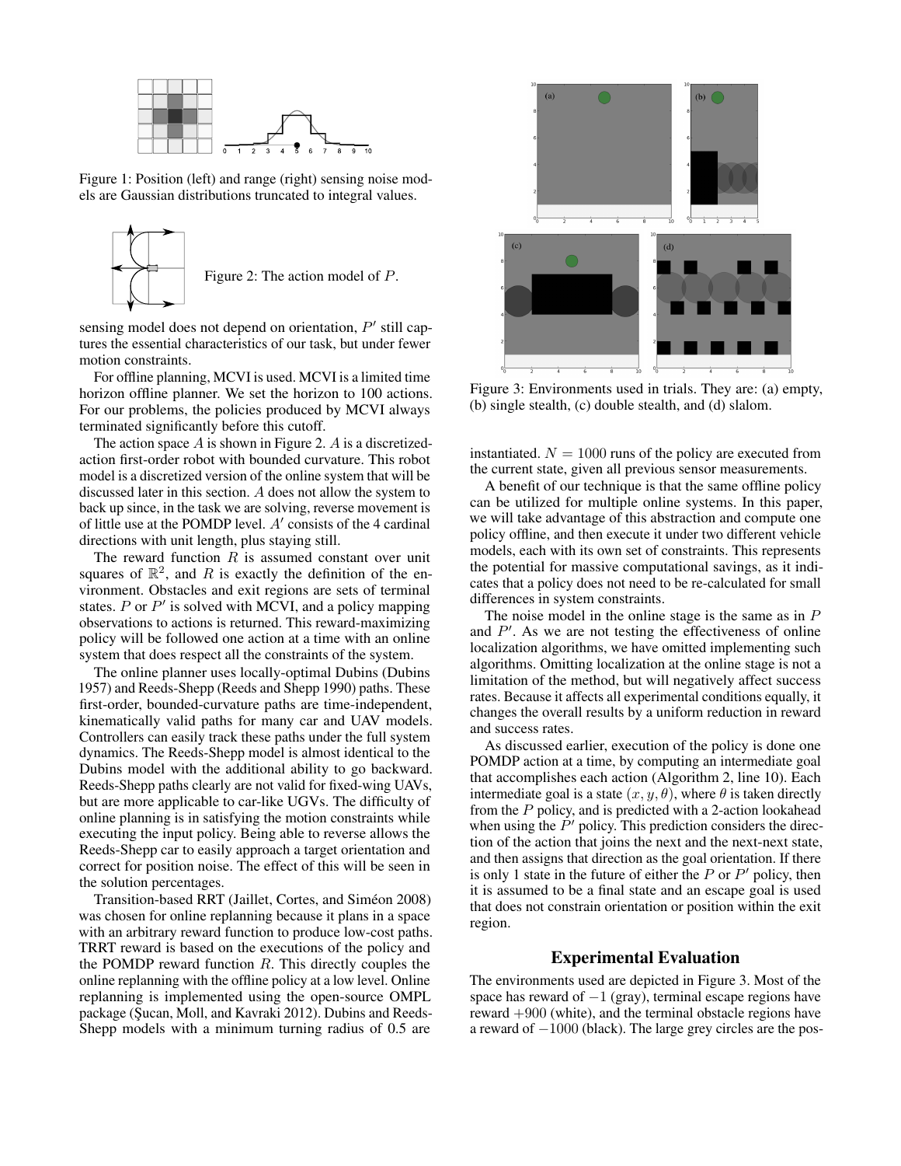

Figure 1: Position (left) and range (right) sensing noise models are Gaussian distributions truncated to integral values.



sensing model does not depend on orientation,  $P'$  still captures the essential characteristics of our task, but under fewer motion constraints.

For offline planning, MCVI is used. MCVI is a limited time horizon offline planner. We set the horizon to 100 actions. For our problems, the policies produced by MCVI always terminated significantly before this cutoff.

The action space  $A$  is shown in Figure 2.  $A$  is a discretizedaction first-order robot with bounded curvature. This robot model is a discretized version of the online system that will be discussed later in this section. A does not allow the system to back up since, in the task we are solving, reverse movement is of little use at the POMDP level.  $A'$  consists of the 4 cardinal directions with unit length, plus staying still.

The reward function  $R$  is assumed constant over unit squares of  $\mathbb{R}^2$ , and R is exactly the definition of the environment. Obstacles and exit regions are sets of terminal states.  $P$  or  $P'$  is solved with MCVI, and a policy mapping observations to actions is returned. This reward-maximizing policy will be followed one action at a time with an online system that does respect all the constraints of the system.

The online planner uses locally-optimal Dubins (Dubins 1957) and Reeds-Shepp (Reeds and Shepp 1990) paths. These first-order, bounded-curvature paths are time-independent, kinematically valid paths for many car and UAV models. Controllers can easily track these paths under the full system dynamics. The Reeds-Shepp model is almost identical to the Dubins model with the additional ability to go backward. Reeds-Shepp paths clearly are not valid for fixed-wing UAVs, but are more applicable to car-like UGVs. The difficulty of online planning is in satisfying the motion constraints while executing the input policy. Being able to reverse allows the Reeds-Shepp car to easily approach a target orientation and correct for position noise. The effect of this will be seen in the solution percentages.

Transition-based RRT (Jaillet, Cortes, and Simeon 2008) ´ was chosen for online replanning because it plans in a space with an arbitrary reward function to produce low-cost paths. TRRT reward is based on the executions of the policy and the POMDP reward function  $R$ . This directly couples the online replanning with the offline policy at a low level. Online replanning is implemented using the open-source OMPL package (Sucan, Moll, and Kavraki 2012). Dubins and Reeds-Shepp models with a minimum turning radius of 0.5 are



Figure 3: Environments used in trials. They are: (a) empty, (b) single stealth, (c) double stealth, and (d) slalom.

instantiated.  $N = 1000$  runs of the policy are executed from the current state, given all previous sensor measurements.

A benefit of our technique is that the same offline policy can be utilized for multiple online systems. In this paper, we will take advantage of this abstraction and compute one policy offline, and then execute it under two different vehicle models, each with its own set of constraints. This represents the potential for massive computational savings, as it indicates that a policy does not need to be re-calculated for small differences in system constraints.

The noise model in the online stage is the same as in  $P$ and  $P'$ . As we are not testing the effectiveness of online localization algorithms, we have omitted implementing such algorithms. Omitting localization at the online stage is not a limitation of the method, but will negatively affect success rates. Because it affects all experimental conditions equally, it changes the overall results by a uniform reduction in reward and success rates.

As discussed earlier, execution of the policy is done one POMDP action at a time, by computing an intermediate goal that accomplishes each action (Algorithm 2, line 10). Each intermediate goal is a state  $(x, y, \theta)$ , where  $\theta$  is taken directly from the P policy, and is predicted with a 2-action lookahead when using the  $P'$  policy. This prediction considers the direction of the action that joins the next and the next-next state, and then assigns that direction as the goal orientation. If there is only 1 state in the future of either the  $P$  or  $P'$  policy, then it is assumed to be a final state and an escape goal is used that does not constrain orientation or position within the exit region.

## Experimental Evaluation

The environments used are depicted in Figure 3. Most of the space has reward of  $-1$  (gray), terminal escape regions have reward +900 (white), and the terminal obstacle regions have a reward of −1000 (black). The large grey circles are the pos-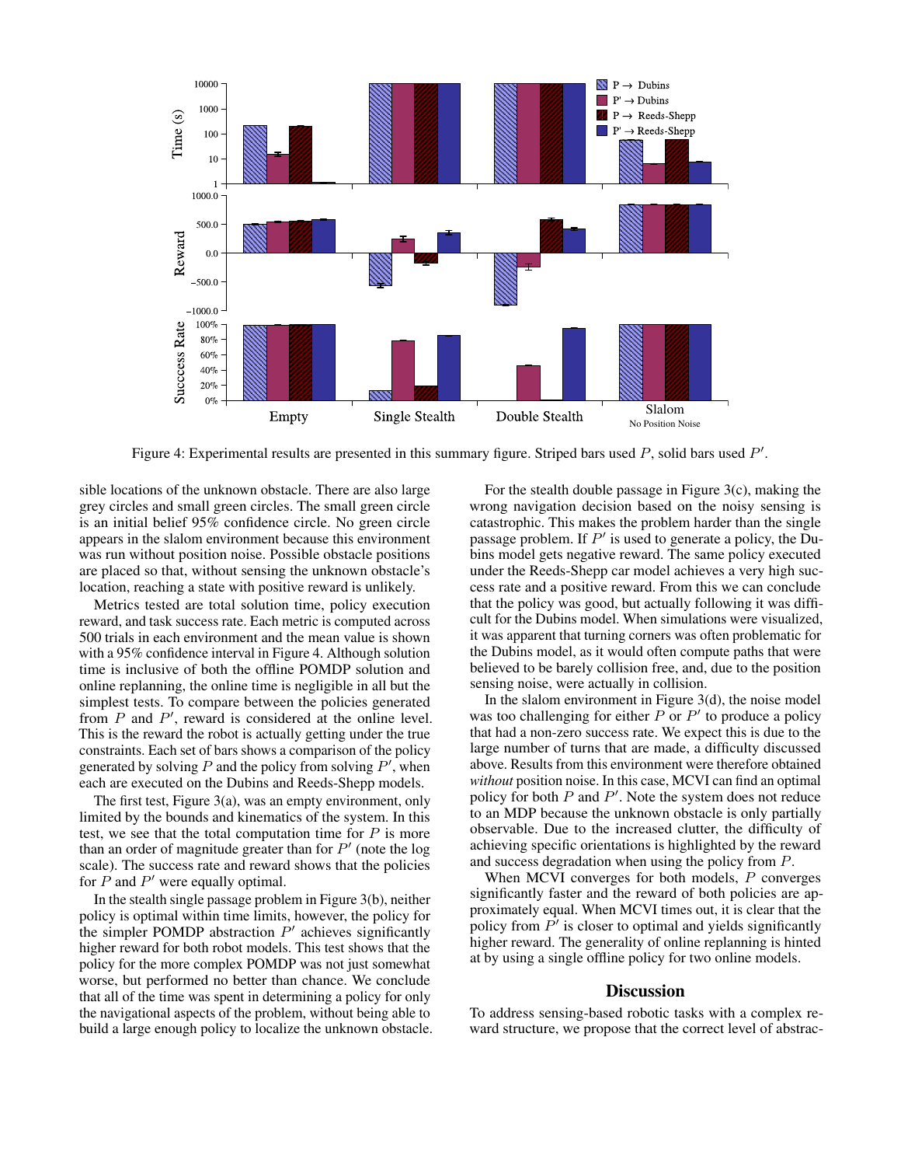

Figure 4: Experimental results are presented in this summary figure. Striped bars used  $P$ , solid bars used  $P'$ .

sible locations of the unknown obstacle. There are also large grey circles and small green circles. The small green circle is an initial belief 95% confidence circle. No green circle appears in the slalom environment because this environment was run without position noise. Possible obstacle positions are placed so that, without sensing the unknown obstacle's location, reaching a state with positive reward is unlikely.

Metrics tested are total solution time, policy execution reward, and task success rate. Each metric is computed across 500 trials in each environment and the mean value is shown with a 95% confidence interval in Figure 4. Although solution time is inclusive of both the offline POMDP solution and online replanning, the online time is negligible in all but the simplest tests. To compare between the policies generated from  $P$  and  $P'$ , reward is considered at the online level. This is the reward the robot is actually getting under the true constraints. Each set of bars shows a comparison of the policy generated by solving  $P$  and the policy from solving  $P'$ , when each are executed on the Dubins and Reeds-Shepp models.

The first test, Figure 3(a), was an empty environment, only limited by the bounds and kinematics of the system. In this test, we see that the total computation time for  $P$  is more than an order of magnitude greater than for  $P'$  (note the log scale). The success rate and reward shows that the policies for  $P$  and  $P'$  were equally optimal.

In the stealth single passage problem in Figure 3(b), neither policy is optimal within time limits, however, the policy for the simpler POMDP abstraction  $P'$  achieves significantly higher reward for both robot models. This test shows that the policy for the more complex POMDP was not just somewhat worse, but performed no better than chance. We conclude that all of the time was spent in determining a policy for only the navigational aspects of the problem, without being able to build a large enough policy to localize the unknown obstacle.

For the stealth double passage in Figure 3(c), making the wrong navigation decision based on the noisy sensing is catastrophic. This makes the problem harder than the single passage problem. If  $P'$  is used to generate a policy, the Dubins model gets negative reward. The same policy executed under the Reeds-Shepp car model achieves a very high success rate and a positive reward. From this we can conclude that the policy was good, but actually following it was difficult for the Dubins model. When simulations were visualized, it was apparent that turning corners was often problematic for the Dubins model, as it would often compute paths that were believed to be barely collision free, and, due to the position sensing noise, were actually in collision.

In the slalom environment in Figure  $3(d)$ , the noise model was too challenging for either  $P$  or  $P'$  to produce a policy that had a non-zero success rate. We expect this is due to the large number of turns that are made, a difficulty discussed above. Results from this environment were therefore obtained *without* position noise. In this case, MCVI can find an optimal policy for both  $P$  and  $P'$ . Note the system does not reduce to an MDP because the unknown obstacle is only partially observable. Due to the increased clutter, the difficulty of achieving specific orientations is highlighted by the reward and success degradation when using the policy from P.

When MCVI converges for both models, P converges significantly faster and the reward of both policies are approximately equal. When MCVI times out, it is clear that the policy from  $P'$  is closer to optimal and yields significantly higher reward. The generality of online replanning is hinted at by using a single offline policy for two online models.

#### **Discussion**

To address sensing-based robotic tasks with a complex reward structure, we propose that the correct level of abstrac